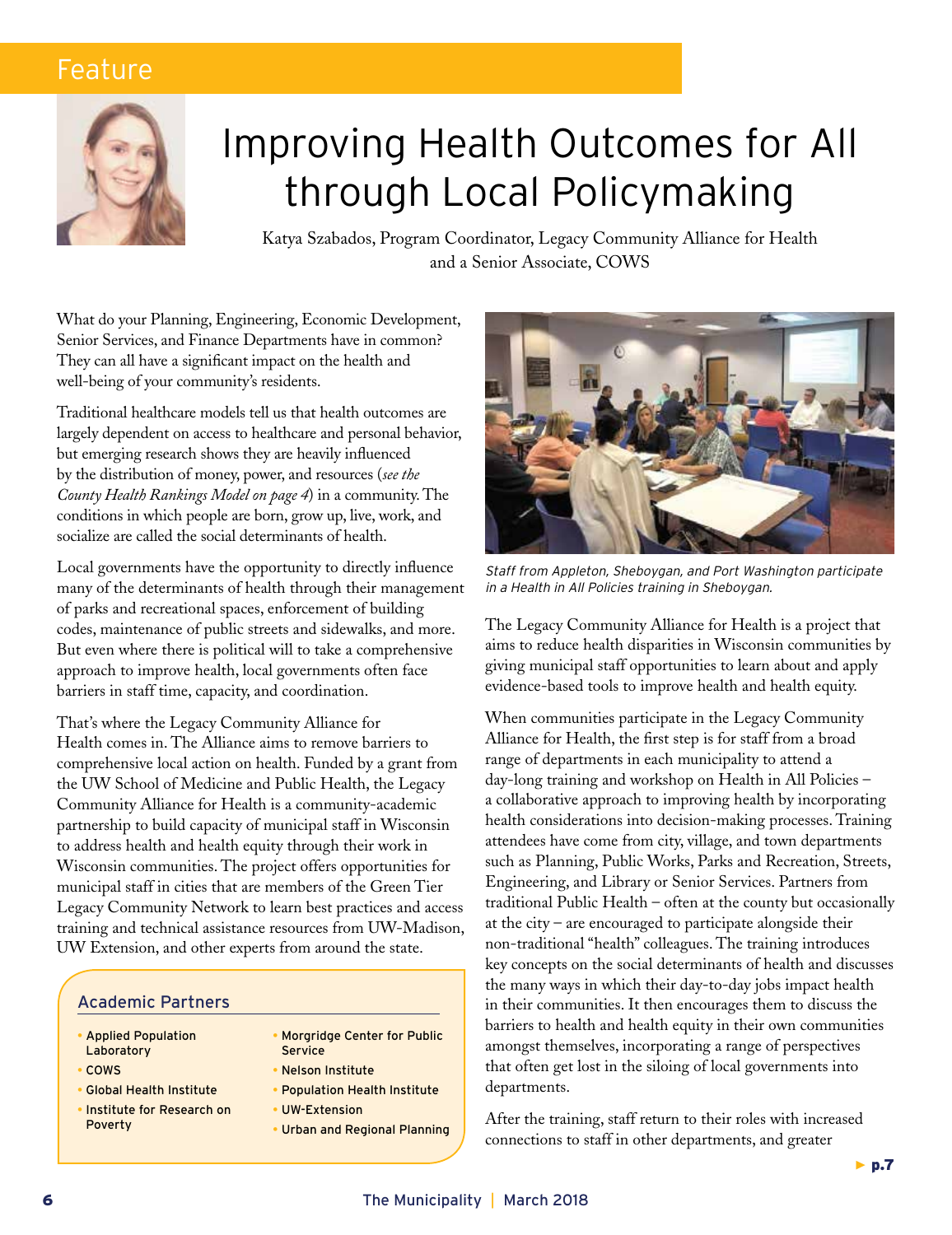# Feature



# Improving Health Outcomes for All through Local Policymaking

Katya Szabados, Program Coordinator, Legacy Community Alliance for Health and a Senior Associate, COWS

What do your Planning, Engineering, Economic Development, Senior Services, and Finance Departments have in common? They can all have a significant impact on the health and well-being of your community's residents.

Traditional healthcare models tell us that health outcomes are largely dependent on access to healthcare and personal behavior, but emerging research shows they are heavily influenced by the distribution of money, power, and resources (*see the County Health Rankings Model on page 4*) in a community. The conditions in which people are born, grow up, live, work, and socialize are called the social determinants of health.

Local governments have the opportunity to directly influence many of the determinants of health through their management of parks and recreational spaces, enforcement of building codes, maintenance of public streets and sidewalks, and more. But even where there is political will to take a comprehensive approach to improve health, local governments often face barriers in staff time, capacity, and coordination.

That's where the Legacy Community Alliance for Health comes in. The Alliance aims to remove barriers to comprehensive local action on health. Funded by a grant from the UW School of Medicine and Public Health, the Legacy Community Alliance for Health is a community-academic partnership to build capacity of municipal staff in Wisconsin to address health and health equity through their work in Wisconsin communities. The project offers opportunities for municipal staff in cities that are members of the Green Tier Legacy Community Network to learn best practices and access training and technical assistance resources from UW-Madison, UW Extension, and other experts from around the state.

### Academic Partners

- Applied Population **Laboratory**
- **COWS**
- Global Health Institute
- Institute for Research on Poverty
- Morgridge Center for Public Service
- Nelson Institute
- Population Health Institute
- UW-Extension
- Urban and Regional Planning



*Staff from Appleton, Sheboygan, and Port Washington participate in a Health in All Policies training in Sheboygan.*

The Legacy Community Alliance for Health is a project that aims to reduce health disparities in Wisconsin communities by giving municipal staff opportunities to learn about and apply evidence-based tools to improve health and health equity.

When communities participate in the Legacy Community Alliance for Health, the first step is for staff from a broad range of departments in each municipality to attend a day-long training and workshop on Health in All Policies – a collaborative approach to improving health by incorporating health considerations into decision-making processes. Training attendees have come from city, village, and town departments such as Planning, Public Works, Parks and Recreation, Streets, Engineering, and Library or Senior Services. Partners from traditional Public Health – often at the county but occasionally at the city – are encouraged to participate alongside their non-traditional "health" colleagues. The training introduces key concepts on the social determinants of health and discusses the many ways in which their day-to-day jobs impact health in their communities. It then encourages them to discuss the barriers to health and health equity in their own communities amongst themselves, incorporating a range of perspectives that often get lost in the siloing of local governments into departments.

After the training, staff return to their roles with increased connections to staff in other departments, and greater